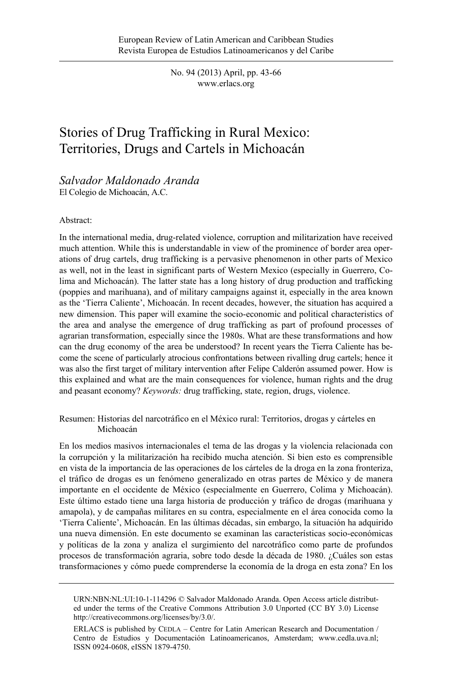No. 94 (2013) April, pp. 43-66 www.erlacs.org

# Stories of Drug Trafficking in Rural Mexico: Territories, Drugs and Cartels in Michoacán

*Salvador Maldonado Aranda*  El Colegio de Michoacán, A.C.

#### Abstract:

In the international media, drug-related violence, corruption and militarization have received much attention. While this is understandable in view of the prominence of border area operations of drug cartels, drug trafficking is a pervasive phenomenon in other parts of Mexico as well, not in the least in significant parts of Western Mexico (especially in Guerrero, Colima and Michoacán). The latter state has a long history of drug production and trafficking (poppies and marihuana), and of military campaigns against it, especially in the area known as the 'Tierra Caliente', Michoacán. In recent decades, however, the situation has acquired a new dimension. This paper will examine the socio-economic and political characteristics of the area and analyse the emergence of drug trafficking as part of profound processes of agrarian transformation, especially since the 1980s. What are these transformations and how can the drug economy of the area be understood? In recent years the Tierra Caliente has become the scene of particularly atrocious confrontations between rivalling drug cartels; hence it was also the first target of military intervention after Felipe Calderón assumed power. How is this explained and what are the main consequences for violence, human rights and the drug and peasant economy? *Keywords:* drug trafficking, state, region, drugs, violence.

Resumen: Historias del narcotráfico en el México rural: Territorios, drogas y cárteles en Michoacán

En los medios masivos internacionales el tema de las drogas y la violencia relacionada con la corrupción y la militarización ha recibido mucha atención. Si bien esto es comprensible en vista de la importancia de las operaciones de los cárteles de la droga en la zona fronteriza, el tráfico de drogas es un fenómeno generalizado en otras partes de México y de manera importante en el occidente de México (especialmente en Guerrero, Colima y Michoacán). Este último estado tiene una larga historia de producción y tráfico de drogas (marihuana y amapola), y de campañas militares en su contra, especialmente en el área conocida como la 'Tierra Caliente', Michoacán. En las últimas décadas, sin embargo, la situación ha adquirido una nueva dimensión. En este documento se examinan las características socio-económicas y políticas de la zona y analiza el surgimiento del narcotráfico como parte de profundos procesos de transformación agraria, sobre todo desde la década de 1980. ¿Cuáles son estas transformaciones y cómo puede comprenderse la economía de la droga en esta zona? En los

URN:NBN:NL:UI:10-1-114296 © Salvador Maldonado Aranda. Open Access article distributed under the terms of the Creative Commons Attribution 3.0 Unported (CC BY 3.0) License http://creativecommons.org/licenses/by/3.0/.

ERLACS is published by CEDLA – Centre for Latin American Research and Documentation / Centro de Estudios y Documentación Latinoamericanos, Amsterdam; www.cedla.uva.nl; ISSN 0924-0608, eISSN 1879-4750.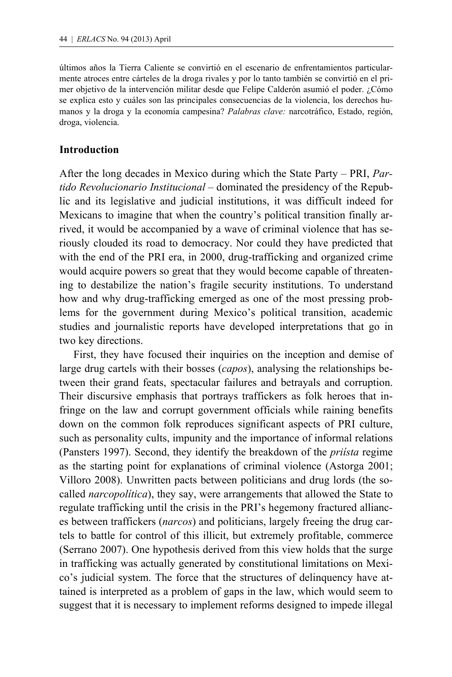últimos años la Tierra Caliente se convirtió en el escenario de enfrentamientos particularmente atroces entre cárteles de la droga rivales y por lo tanto también se convirtió en el primer objetivo de la intervención militar desde que Felipe Calderón asumió el poder. ¿Cómo se explica esto y cuáles son las principales consecuencias de la violencia, los derechos humanos y la droga y la economía campesina? *Palabras clave:* narcotráfico, Estado, región, droga, violencia.

### **Introduction**

After the long decades in Mexico during which the State Party – PRI, *Partido Revolucionario Institucional* – dominated the presidency of the Republic and its legislative and judicial institutions, it was difficult indeed for Mexicans to imagine that when the country's political transition finally arrived, it would be accompanied by a wave of criminal violence that has seriously clouded its road to democracy. Nor could they have predicted that with the end of the PRI era, in 2000, drug-trafficking and organized crime would acquire powers so great that they would become capable of threatening to destabilize the nation's fragile security institutions. To understand how and why drug-trafficking emerged as one of the most pressing problems for the government during Mexico's political transition, academic studies and journalistic reports have developed interpretations that go in two key directions.

 First, they have focused their inquiries on the inception and demise of large drug cartels with their bosses (*capos*), analysing the relationships between their grand feats, spectacular failures and betrayals and corruption. Their discursive emphasis that portrays traffickers as folk heroes that infringe on the law and corrupt government officials while raining benefits down on the common folk reproduces significant aspects of PRI culture, such as personality cults, impunity and the importance of informal relations (Pansters 1997). Second, they identify the breakdown of the *priísta* regime as the starting point for explanations of criminal violence (Astorga 2001; Villoro 2008). Unwritten pacts between politicians and drug lords (the socalled *narcopolítica*), they say, were arrangements that allowed the State to regulate trafficking until the crisis in the PRI's hegemony fractured alliances between traffickers (*narcos*) and politicians, largely freeing the drug cartels to battle for control of this illicit, but extremely profitable, commerce (Serrano 2007). One hypothesis derived from this view holds that the surge in trafficking was actually generated by constitutional limitations on Mexico's judicial system. The force that the structures of delinquency have attained is interpreted as a problem of gaps in the law, which would seem to suggest that it is necessary to implement reforms designed to impede illegal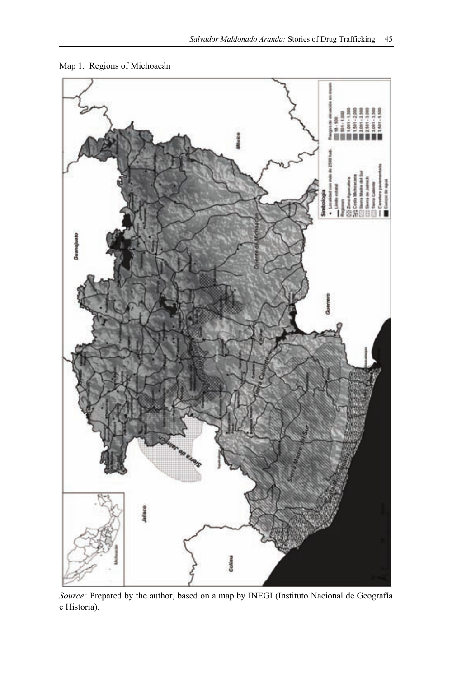

Map 1. Regions of Michoacán

*Source:* Prepared by the author, based on a map by INEGI (Instituto Nacional de Geografía e Historia).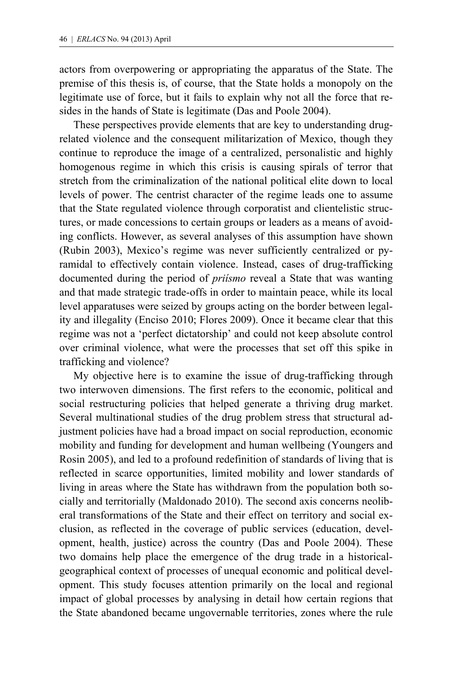actors from overpowering or appropriating the apparatus of the State. The premise of this thesis is, of course, that the State holds a monopoly on the legitimate use of force, but it fails to explain why not all the force that resides in the hands of State is legitimate (Das and Poole 2004).

 These perspectives provide elements that are key to understanding drugrelated violence and the consequent militarization of Mexico, though they continue to reproduce the image of a centralized, personalistic and highly homogenous regime in which this crisis is causing spirals of terror that stretch from the criminalization of the national political elite down to local levels of power. The centrist character of the regime leads one to assume that the State regulated violence through corporatist and clientelistic structures, or made concessions to certain groups or leaders as a means of avoiding conflicts. However, as several analyses of this assumption have shown (Rubin 2003), Mexico's regime was never sufficiently centralized or pyramidal to effectively contain violence. Instead, cases of drug-trafficking documented during the period of *priísmo* reveal a State that was wanting and that made strategic trade-offs in order to maintain peace, while its local level apparatuses were seized by groups acting on the border between legality and illegality (Enciso 2010; Flores 2009). Once it became clear that this regime was not a 'perfect dictatorship' and could not keep absolute control over criminal violence, what were the processes that set off this spike in trafficking and violence?

 My objective here is to examine the issue of drug-trafficking through two interwoven dimensions. The first refers to the economic, political and social restructuring policies that helped generate a thriving drug market. Several multinational studies of the drug problem stress that structural adjustment policies have had a broad impact on social reproduction, economic mobility and funding for development and human wellbeing (Youngers and Rosin 2005), and led to a profound redefinition of standards of living that is reflected in scarce opportunities, limited mobility and lower standards of living in areas where the State has withdrawn from the population both socially and territorially (Maldonado 2010). The second axis concerns neoliberal transformations of the State and their effect on territory and social exclusion, as reflected in the coverage of public services (education, development, health, justice) across the country (Das and Poole 2004). These two domains help place the emergence of the drug trade in a historicalgeographical context of processes of unequal economic and political development. This study focuses attention primarily on the local and regional impact of global processes by analysing in detail how certain regions that the State abandoned became ungovernable territories, zones where the rule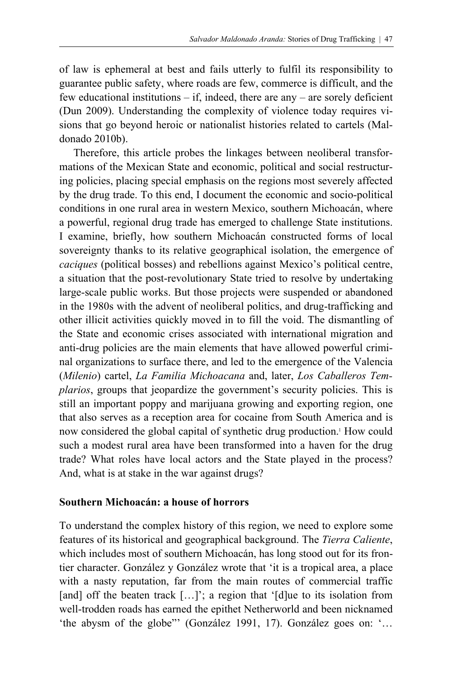of law is ephemeral at best and fails utterly to fulfil its responsibility to guarantee public safety, where roads are few, commerce is difficult, and the few educational institutions  $-$  if, indeed, there are any  $-$  are sorely deficient (Dun 2009). Understanding the complexity of violence today requires visions that go beyond heroic or nationalist histories related to cartels (Maldonado 2010b).

 Therefore, this article probes the linkages between neoliberal transformations of the Mexican State and economic, political and social restructuring policies, placing special emphasis on the regions most severely affected by the drug trade. To this end, I document the economic and socio-political conditions in one rural area in western Mexico, southern Michoacán, where a powerful, regional drug trade has emerged to challenge State institutions. I examine, briefly, how southern Michoacán constructed forms of local sovereignty thanks to its relative geographical isolation, the emergence of *caciques* (political bosses) and rebellions against Mexico's political centre, a situation that the post-revolutionary State tried to resolve by undertaking large-scale public works. But those projects were suspended or abandoned in the 1980s with the advent of neoliberal politics, and drug-trafficking and other illicit activities quickly moved in to fill the void. The dismantling of the State and economic crises associated with international migration and anti-drug policies are the main elements that have allowed powerful criminal organizations to surface there, and led to the emergence of the Valencia (*Milenio*) cartel, *La Familia Michoacana* and, later, *Los Caballeros Templarios*, groups that jeopardize the government's security policies. This is still an important poppy and marijuana growing and exporting region, one that also serves as a reception area for cocaine from South America and is now considered the global capital of synthetic drug production.<sup>1</sup> How could such a modest rural area have been transformed into a haven for the drug trade? What roles have local actors and the State played in the process? And, what is at stake in the war against drugs?

#### **Southern Michoacán: a house of horrors**

To understand the complex history of this region, we need to explore some features of its historical and geographical background. The *Tierra Caliente*, which includes most of southern Michoacán, has long stood out for its frontier character. González y González wrote that 'it is a tropical area, a place with a nasty reputation, far from the main routes of commercial traffic [and] off the beaten track [...]'; a region that '[d]ue to its isolation from well-trodden roads has earned the epithet Netherworld and been nicknamed 'the abysm of the globe"' (González 1991, 17). González goes on: '…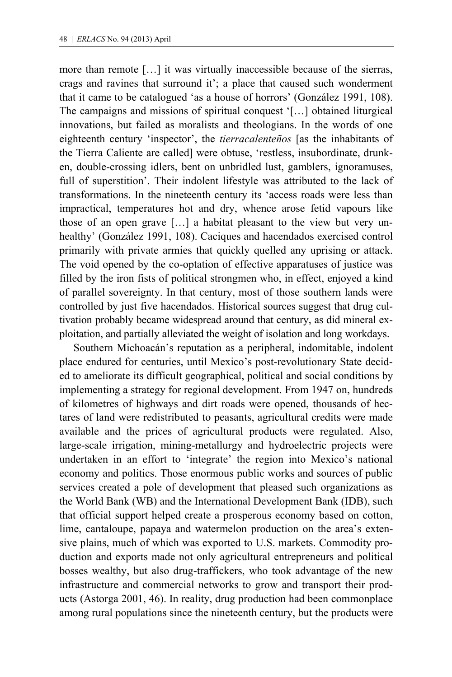more than remote […] it was virtually inaccessible because of the sierras, crags and ravines that surround it'; a place that caused such wonderment that it came to be catalogued 'as a house of horrors' (González 1991, 108). The campaigns and missions of spiritual conquest '[…] obtained liturgical innovations, but failed as moralists and theologians. In the words of one eighteenth century 'inspector', the *tierracalenteños* [as the inhabitants of the Tierra Caliente are called] were obtuse, 'restless, insubordinate, drunken, double-crossing idlers, bent on unbridled lust, gamblers, ignoramuses, full of superstition'. Their indolent lifestyle was attributed to the lack of transformations. In the nineteenth century its 'access roads were less than impractical, temperatures hot and dry, whence arose fetid vapours like those of an open grave […] a habitat pleasant to the view but very unhealthy' (González 1991, 108). Caciques and hacendados exercised control primarily with private armies that quickly quelled any uprising or attack. The void opened by the co-optation of effective apparatuses of justice was filled by the iron fists of political strongmen who, in effect, enjoyed a kind of parallel sovereignty. In that century, most of those southern lands were controlled by just five hacendados. Historical sources suggest that drug cultivation probably became widespread around that century, as did mineral exploitation, and partially alleviated the weight of isolation and long workdays.

 Southern Michoacán's reputation as a peripheral, indomitable, indolent place endured for centuries, until Mexico's post-revolutionary State decided to ameliorate its difficult geographical, political and social conditions by implementing a strategy for regional development. From 1947 on, hundreds of kilometres of highways and dirt roads were opened, thousands of hectares of land were redistributed to peasants, agricultural credits were made available and the prices of agricultural products were regulated. Also, large-scale irrigation, mining-metallurgy and hydroelectric projects were undertaken in an effort to 'integrate' the region into Mexico's national economy and politics. Those enormous public works and sources of public services created a pole of development that pleased such organizations as the World Bank (WB) and the International Development Bank (IDB), such that official support helped create a prosperous economy based on cotton, lime, cantaloupe, papaya and watermelon production on the area's extensive plains, much of which was exported to U.S. markets. Commodity production and exports made not only agricultural entrepreneurs and political bosses wealthy, but also drug-traffickers, who took advantage of the new infrastructure and commercial networks to grow and transport their products (Astorga 2001, 46). In reality, drug production had been commonplace among rural populations since the nineteenth century, but the products were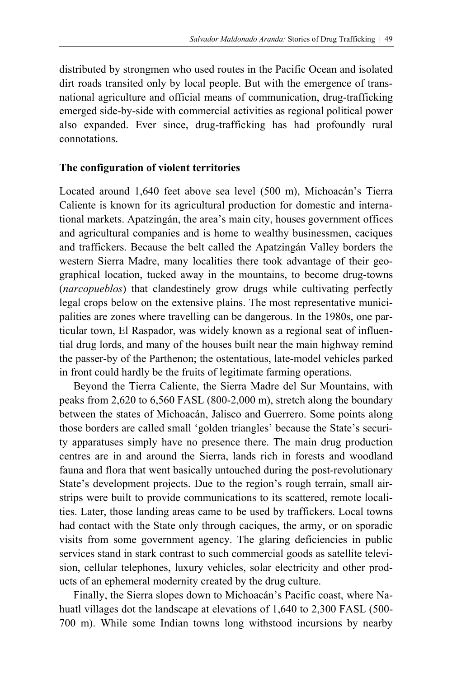distributed by strongmen who used routes in the Pacific Ocean and isolated dirt roads transited only by local people. But with the emergence of transnational agriculture and official means of communication, drug-trafficking emerged side-by-side with commercial activities as regional political power also expanded. Ever since, drug-trafficking has had profoundly rural connotations.

## **The configuration of violent territories**

Located around 1,640 feet above sea level (500 m), Michoacán's Tierra Caliente is known for its agricultural production for domestic and international markets. Apatzingán, the area's main city, houses government offices and agricultural companies and is home to wealthy businessmen, caciques and traffickers. Because the belt called the Apatzingán Valley borders the western Sierra Madre, many localities there took advantage of their geographical location, tucked away in the mountains, to become drug-towns (*narcopueblos*) that clandestinely grow drugs while cultivating perfectly legal crops below on the extensive plains. The most representative municipalities are zones where travelling can be dangerous. In the 1980s, one particular town, El Raspador, was widely known as a regional seat of influential drug lords, and many of the houses built near the main highway remind the passer-by of the Parthenon; the ostentatious, late-model vehicles parked in front could hardly be the fruits of legitimate farming operations.

 Beyond the Tierra Caliente, the Sierra Madre del Sur Mountains, with peaks from 2,620 to 6,560 FASL (800-2,000 m), stretch along the boundary between the states of Michoacán, Jalisco and Guerrero. Some points along those borders are called small 'golden triangles' because the State's security apparatuses simply have no presence there. The main drug production centres are in and around the Sierra, lands rich in forests and woodland fauna and flora that went basically untouched during the post-revolutionary State's development projects. Due to the region's rough terrain, small airstrips were built to provide communications to its scattered, remote localities. Later, those landing areas came to be used by traffickers. Local towns had contact with the State only through caciques, the army, or on sporadic visits from some government agency. The glaring deficiencies in public services stand in stark contrast to such commercial goods as satellite television, cellular telephones, luxury vehicles, solar electricity and other products of an ephemeral modernity created by the drug culture.

 Finally, the Sierra slopes down to Michoacán's Pacific coast, where Nahuatl villages dot the landscape at elevations of 1,640 to 2,300 FASL (500- 700 m). While some Indian towns long withstood incursions by nearby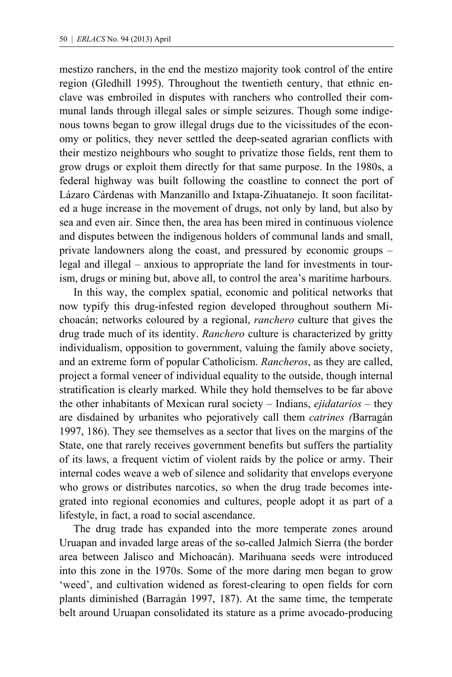mestizo ranchers, in the end the mestizo majority took control of the entire region (Gledhill 1995). Throughout the twentieth century, that ethnic enclave was embroiled in disputes with ranchers who controlled their communal lands through illegal sales or simple seizures. Though some indigenous towns began to grow illegal drugs due to the vicissitudes of the economy or politics, they never settled the deep-seated agrarian conflicts with their mestizo neighbours who sought to privatize those fields, rent them to grow drugs or exploit them directly for that same purpose. In the 1980s, a federal highway was built following the coastline to connect the port of Lázaro Cárdenas with Manzanillo and Ixtapa-Zihuatanejo. It soon facilitated a huge increase in the movement of drugs, not only by land, but also by sea and even air. Since then, the area has been mired in continuous violence and disputes between the indigenous holders of communal lands and small, private landowners along the coast, and pressured by economic groups – legal and illegal – anxious to appropriate the land for investments in tourism, drugs or mining but, above all, to control the area's maritime harbours.

 In this way, the complex spatial, economic and political networks that now typify this drug-infested region developed throughout southern Michoacán; networks coloured by a regional, *ranchero* culture that gives the drug trade much of its identity. *Ranchero* culture is characterized by gritty individualism, opposition to government, valuing the family above society, and an extreme form of popular Catholicism. *Rancheros*, as they are called, project a formal veneer of individual equality to the outside, though internal stratification is clearly marked. While they hold themselves to be far above the other inhabitants of Mexican rural society – Indians, *ejidatarios* – they are disdained by urbanites who pejoratively call them *catrines (*Barragán 1997, 186). They see themselves as a sector that lives on the margins of the State, one that rarely receives government benefits but suffers the partiality of its laws, a frequent victim of violent raids by the police or army. Their internal codes weave a web of silence and solidarity that envelops everyone who grows or distributes narcotics, so when the drug trade becomes integrated into regional economies and cultures, people adopt it as part of a lifestyle, in fact, a road to social ascendance.

 The drug trade has expanded into the more temperate zones around Uruapan and invaded large areas of the so-called Jalmich Sierra (the border area between Jalisco and Michoacán). Marihuana seeds were introduced into this zone in the 1970s. Some of the more daring men began to grow 'weed', and cultivation widened as forest-clearing to open fields for corn plants diminished (Barragán 1997, 187). At the same time, the temperate belt around Uruapan consolidated its stature as a prime avocado-producing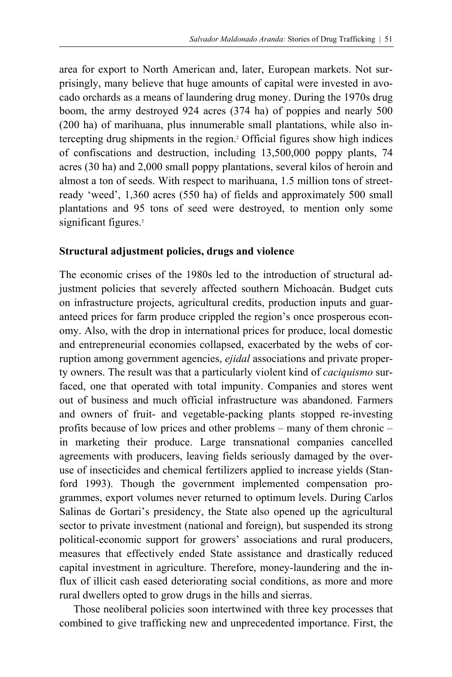area for export to North American and, later, European markets. Not surprisingly, many believe that huge amounts of capital were invested in avocado orchards as a means of laundering drug money. During the 1970s drug boom, the army destroyed 924 acres (374 ha) of poppies and nearly 500 (200 ha) of marihuana, plus innumerable small plantations, while also intercepting drug shipments in the region.2 Official figures show high indices of confiscations and destruction, including 13,500,000 poppy plants, 74 acres (30 ha) and 2,000 small poppy plantations, several kilos of heroin and almost a ton of seeds. With respect to marihuana, 1.5 million tons of streetready 'weed', 1,360 acres (550 ha) of fields and approximately 500 small plantations and 95 tons of seed were destroyed, to mention only some significant figures.<sup>3</sup>

## **Structural adjustment policies, drugs and violence**

The economic crises of the 1980s led to the introduction of structural adjustment policies that severely affected southern Michoacán. Budget cuts on infrastructure projects, agricultural credits, production inputs and guaranteed prices for farm produce crippled the region's once prosperous economy. Also, with the drop in international prices for produce, local domestic and entrepreneurial economies collapsed, exacerbated by the webs of corruption among government agencies, *ejidal* associations and private property owners. The result was that a particularly violent kind of *caciquismo* surfaced, one that operated with total impunity. Companies and stores went out of business and much official infrastructure was abandoned. Farmers and owners of fruit- and vegetable-packing plants stopped re-investing profits because of low prices and other problems – many of them chronic – in marketing their produce. Large transnational companies cancelled agreements with producers, leaving fields seriously damaged by the overuse of insecticides and chemical fertilizers applied to increase yields (Stanford 1993). Though the government implemented compensation programmes, export volumes never returned to optimum levels. During Carlos Salinas de Gortari's presidency, the State also opened up the agricultural sector to private investment (national and foreign), but suspended its strong political-economic support for growers' associations and rural producers, measures that effectively ended State assistance and drastically reduced capital investment in agriculture. Therefore, money-laundering and the influx of illicit cash eased deteriorating social conditions, as more and more rural dwellers opted to grow drugs in the hills and sierras.

 Those neoliberal policies soon intertwined with three key processes that combined to give trafficking new and unprecedented importance. First, the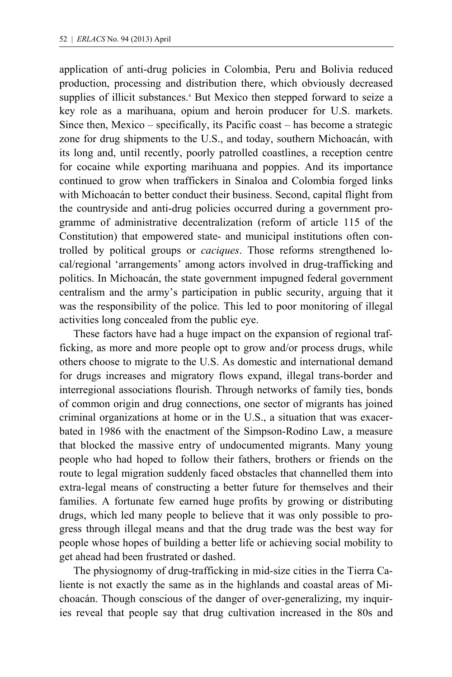application of anti-drug policies in Colombia, Peru and Bolivia reduced production, processing and distribution there, which obviously decreased supplies of illicit substances.<sup>4</sup> But Mexico then stepped forward to seize a key role as a marihuana, opium and heroin producer for U.S. markets. Since then, Mexico – specifically, its Pacific coast – has become a strategic zone for drug shipments to the U.S., and today, southern Michoacán, with its long and, until recently, poorly patrolled coastlines, a reception centre for cocaine while exporting marihuana and poppies. And its importance continued to grow when traffickers in Sinaloa and Colombia forged links with Michoacán to better conduct their business. Second, capital flight from the countryside and anti-drug policies occurred during a government programme of administrative decentralization (reform of article 115 of the Constitution) that empowered state- and municipal institutions often controlled by political groups or *caciques*. Those reforms strengthened local/regional 'arrangements' among actors involved in drug-trafficking and politics. In Michoacán, the state government impugned federal government centralism and the army's participation in public security, arguing that it was the responsibility of the police. This led to poor monitoring of illegal activities long concealed from the public eye.

 These factors have had a huge impact on the expansion of regional trafficking, as more and more people opt to grow and/or process drugs, while others choose to migrate to the U.S. As domestic and international demand for drugs increases and migratory flows expand, illegal trans-border and interregional associations flourish. Through networks of family ties, bonds of common origin and drug connections, one sector of migrants has joined criminal organizations at home or in the U.S., a situation that was exacerbated in 1986 with the enactment of the Simpson-Rodino Law, a measure that blocked the massive entry of undocumented migrants. Many young people who had hoped to follow their fathers, brothers or friends on the route to legal migration suddenly faced obstacles that channelled them into extra-legal means of constructing a better future for themselves and their families. A fortunate few earned huge profits by growing or distributing drugs, which led many people to believe that it was only possible to progress through illegal means and that the drug trade was the best way for people whose hopes of building a better life or achieving social mobility to get ahead had been frustrated or dashed.

 The physiognomy of drug-trafficking in mid-size cities in the Tierra Caliente is not exactly the same as in the highlands and coastal areas of Michoacán. Though conscious of the danger of over-generalizing, my inquiries reveal that people say that drug cultivation increased in the 80s and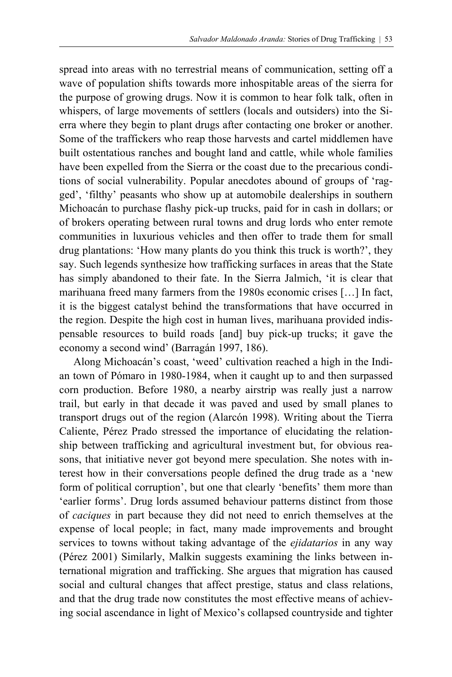spread into areas with no terrestrial means of communication, setting off a wave of population shifts towards more inhospitable areas of the sierra for the purpose of growing drugs. Now it is common to hear folk talk, often in whispers, of large movements of settlers (locals and outsiders) into the Sierra where they begin to plant drugs after contacting one broker or another. Some of the traffickers who reap those harvests and cartel middlemen have built ostentatious ranches and bought land and cattle, while whole families have been expelled from the Sierra or the coast due to the precarious conditions of social vulnerability. Popular anecdotes abound of groups of 'ragged', 'filthy' peasants who show up at automobile dealerships in southern Michoacán to purchase flashy pick-up trucks, paid for in cash in dollars; or of brokers operating between rural towns and drug lords who enter remote communities in luxurious vehicles and then offer to trade them for small drug plantations: 'How many plants do you think this truck is worth?', they say. Such legends synthesize how trafficking surfaces in areas that the State has simply abandoned to their fate. In the Sierra Jalmich, 'it is clear that marihuana freed many farmers from the 1980s economic crises […] In fact, it is the biggest catalyst behind the transformations that have occurred in the region. Despite the high cost in human lives, marihuana provided indispensable resources to build roads [and] buy pick-up trucks; it gave the economy a second wind' (Barragán 1997, 186).

 Along Michoacán's coast, 'weed' cultivation reached a high in the Indian town of Pómaro in 1980-1984, when it caught up to and then surpassed corn production. Before 1980, a nearby airstrip was really just a narrow trail, but early in that decade it was paved and used by small planes to transport drugs out of the region (Alarcón 1998). Writing about the Tierra Caliente, Pérez Prado stressed the importance of elucidating the relationship between trafficking and agricultural investment but, for obvious reasons, that initiative never got beyond mere speculation. She notes with interest how in their conversations people defined the drug trade as a 'new form of political corruption', but one that clearly 'benefits' them more than 'earlier forms'. Drug lords assumed behaviour patterns distinct from those of *caciques* in part because they did not need to enrich themselves at the expense of local people; in fact, many made improvements and brought services to towns without taking advantage of the *ejidatarios* in any way (Pérez 2001) Similarly, Malkin suggests examining the links between international migration and trafficking. She argues that migration has caused social and cultural changes that affect prestige, status and class relations, and that the drug trade now constitutes the most effective means of achieving social ascendance in light of Mexico's collapsed countryside and tighter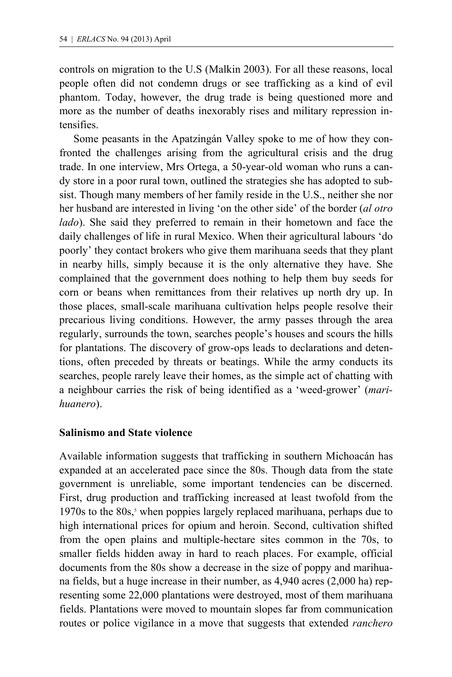controls on migration to the U.S (Malkin 2003). For all these reasons, local people often did not condemn drugs or see trafficking as a kind of evil phantom. Today, however, the drug trade is being questioned more and more as the number of deaths inexorably rises and military repression intensifies.

 Some peasants in the Apatzingán Valley spoke to me of how they confronted the challenges arising from the agricultural crisis and the drug trade. In one interview, Mrs Ortega, a 50-year-old woman who runs a candy store in a poor rural town, outlined the strategies she has adopted to subsist. Though many members of her family reside in the U.S., neither she nor her husband are interested in living 'on the other side' of the border (*al otro lado*). She said they preferred to remain in their hometown and face the daily challenges of life in rural Mexico. When their agricultural labours 'do poorly' they contact brokers who give them marihuana seeds that they plant in nearby hills, simply because it is the only alternative they have. She complained that the government does nothing to help them buy seeds for corn or beans when remittances from their relatives up north dry up. In those places, small-scale marihuana cultivation helps people resolve their precarious living conditions. However, the army passes through the area regularly, surrounds the town, searches people's houses and scours the hills for plantations. The discovery of grow-ops leads to declarations and detentions, often preceded by threats or beatings. While the army conducts its searches, people rarely leave their homes, as the simple act of chatting with a neighbour carries the risk of being identified as a 'weed-grower' (*marihuanero*).

#### **Salinismo and State violence**

Available information suggests that trafficking in southern Michoacán has expanded at an accelerated pace since the 80s. Though data from the state government is unreliable, some important tendencies can be discerned. First, drug production and trafficking increased at least twofold from the 1970s to the 80s,<sup>5</sup> when poppies largely replaced marihuana, perhaps due to high international prices for opium and heroin. Second, cultivation shifted from the open plains and multiple-hectare sites common in the 70s, to smaller fields hidden away in hard to reach places. For example, official documents from the 80s show a decrease in the size of poppy and marihuana fields, but a huge increase in their number, as 4,940 acres (2,000 ha) representing some 22,000 plantations were destroyed, most of them marihuana fields. Plantations were moved to mountain slopes far from communication routes or police vigilance in a move that suggests that extended *ranchero*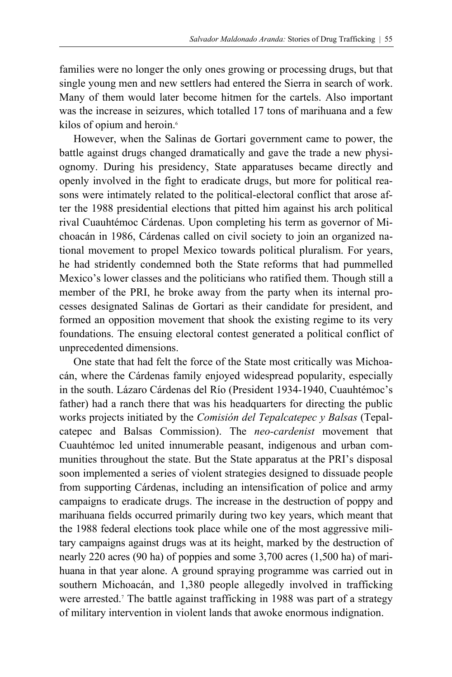families were no longer the only ones growing or processing drugs, but that single young men and new settlers had entered the Sierra in search of work. Many of them would later become hitmen for the cartels. Also important was the increase in seizures, which totalled 17 tons of marihuana and a few kilos of opium and heroin.<sup>6</sup>

 However, when the Salinas de Gortari government came to power, the battle against drugs changed dramatically and gave the trade a new physiognomy. During his presidency, State apparatuses became directly and openly involved in the fight to eradicate drugs, but more for political reasons were intimately related to the political-electoral conflict that arose after the 1988 presidential elections that pitted him against his arch political rival Cuauhtémoc Cárdenas. Upon completing his term as governor of Michoacán in 1986, Cárdenas called on civil society to join an organized national movement to propel Mexico towards political pluralism. For years, he had stridently condemned both the State reforms that had pummelled Mexico's lower classes and the politicians who ratified them. Though still a member of the PRI, he broke away from the party when its internal processes designated Salinas de Gortari as their candidate for president, and formed an opposition movement that shook the existing regime to its very foundations. The ensuing electoral contest generated a political conflict of unprecedented dimensions.

 One state that had felt the force of the State most critically was Michoacán, where the Cárdenas family enjoyed widespread popularity, especially in the south. Lázaro Cárdenas del Río (President 1934-1940, Cuauhtémoc's father) had a ranch there that was his headquarters for directing the public works projects initiated by the *Comisión del Tepalcatepec y Balsas* (Tepalcatepec and Balsas Commission). The *neo-cardenist* movement that Cuauhtémoc led united innumerable peasant, indigenous and urban communities throughout the state. But the State apparatus at the PRI's disposal soon implemented a series of violent strategies designed to dissuade people from supporting Cárdenas, including an intensification of police and army campaigns to eradicate drugs. The increase in the destruction of poppy and marihuana fields occurred primarily during two key years, which meant that the 1988 federal elections took place while one of the most aggressive military campaigns against drugs was at its height, marked by the destruction of nearly 220 acres (90 ha) of poppies and some 3,700 acres (1,500 ha) of marihuana in that year alone. A ground spraying programme was carried out in southern Michoacán, and 1,380 people allegedly involved in trafficking were arrested.<sup>7</sup> The battle against trafficking in 1988 was part of a strategy of military intervention in violent lands that awoke enormous indignation.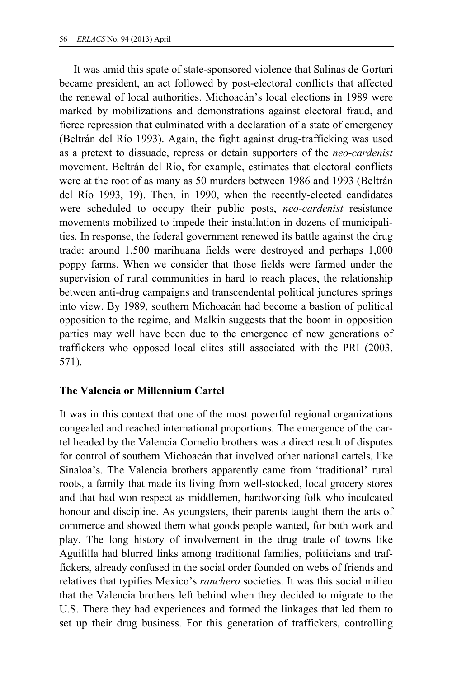It was amid this spate of state-sponsored violence that Salinas de Gortari became president, an act followed by post-electoral conflicts that affected the renewal of local authorities. Michoacán's local elections in 1989 were marked by mobilizations and demonstrations against electoral fraud, and fierce repression that culminated with a declaration of a state of emergency (Beltrán del Río 1993). Again, the fight against drug-trafficking was used as a pretext to dissuade, repress or detain supporters of the *neo-cardenist* movement. Beltrán del Río, for example, estimates that electoral conflicts were at the root of as many as 50 murders between 1986 and 1993 (Beltrán del Río 1993, 19). Then, in 1990, when the recently-elected candidates were scheduled to occupy their public posts, *neo-cardenist* resistance movements mobilized to impede their installation in dozens of municipalities. In response, the federal government renewed its battle against the drug trade: around 1,500 marihuana fields were destroyed and perhaps 1,000 poppy farms. When we consider that those fields were farmed under the supervision of rural communities in hard to reach places, the relationship between anti-drug campaigns and transcendental political junctures springs into view. By 1989, southern Michoacán had become a bastion of political opposition to the regime, and Malkin suggests that the boom in opposition parties may well have been due to the emergence of new generations of traffickers who opposed local elites still associated with the PRI (2003, 571).

## **The Valencia or Millennium Cartel**

It was in this context that one of the most powerful regional organizations congealed and reached international proportions. The emergence of the cartel headed by the Valencia Cornelio brothers was a direct result of disputes for control of southern Michoacán that involved other national cartels, like Sinaloa's. The Valencia brothers apparently came from 'traditional' rural roots, a family that made its living from well-stocked, local grocery stores and that had won respect as middlemen, hardworking folk who inculcated honour and discipline. As youngsters, their parents taught them the arts of commerce and showed them what goods people wanted, for both work and play. The long history of involvement in the drug trade of towns like Aguililla had blurred links among traditional families, politicians and traffickers, already confused in the social order founded on webs of friends and relatives that typifies Mexico's *ranchero* societies. It was this social milieu that the Valencia brothers left behind when they decided to migrate to the U.S. There they had experiences and formed the linkages that led them to set up their drug business. For this generation of traffickers, controlling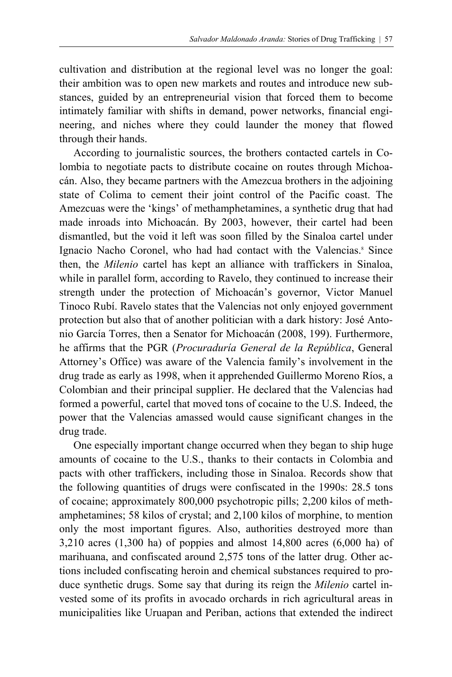cultivation and distribution at the regional level was no longer the goal: their ambition was to open new markets and routes and introduce new substances, guided by an entrepreneurial vision that forced them to become intimately familiar with shifts in demand, power networks, financial engineering, and niches where they could launder the money that flowed through their hands.

 According to journalistic sources, the brothers contacted cartels in Colombia to negotiate pacts to distribute cocaine on routes through Michoacán. Also, they became partners with the Amezcua brothers in the adjoining state of Colima to cement their joint control of the Pacific coast. The Amezcuas were the 'kings' of methamphetamines, a synthetic drug that had made inroads into Michoacán. By 2003, however, their cartel had been dismantled, but the void it left was soon filled by the Sinaloa cartel under Ignacio Nacho Coronel, who had had contact with the Valencias.<sup>8</sup> Since then, the *Milenio* cartel has kept an alliance with traffickers in Sinaloa, while in parallel form, according to Ravelo, they continued to increase their strength under the protection of Michoacán's governor, Victor Manuel Tinoco Rubí. Ravelo states that the Valencias not only enjoyed government protection but also that of another politician with a dark history: José Antonio García Torres, then a Senator for Michoacán (2008, 199). Furthermore, he affirms that the PGR (*Procuraduría General de la República*, General Attorney's Office) was aware of the Valencia family's involvement in the drug trade as early as 1998, when it apprehended Guillermo Moreno Ríos, a Colombian and their principal supplier. He declared that the Valencias had formed a powerful, cartel that moved tons of cocaine to the U.S. Indeed, the power that the Valencias amassed would cause significant changes in the drug trade.

 One especially important change occurred when they began to ship huge amounts of cocaine to the U.S., thanks to their contacts in Colombia and pacts with other traffickers, including those in Sinaloa. Records show that the following quantities of drugs were confiscated in the 1990s: 28.5 tons of cocaine; approximately 800,000 psychotropic pills; 2,200 kilos of methamphetamines; 58 kilos of crystal; and 2,100 kilos of morphine, to mention only the most important figures. Also, authorities destroyed more than 3,210 acres (1,300 ha) of poppies and almost 14,800 acres (6,000 ha) of marihuana, and confiscated around 2,575 tons of the latter drug. Other actions included confiscating heroin and chemical substances required to produce synthetic drugs. Some say that during its reign the *Milenio* cartel invested some of its profits in avocado orchards in rich agricultural areas in municipalities like Uruapan and Periban, actions that extended the indirect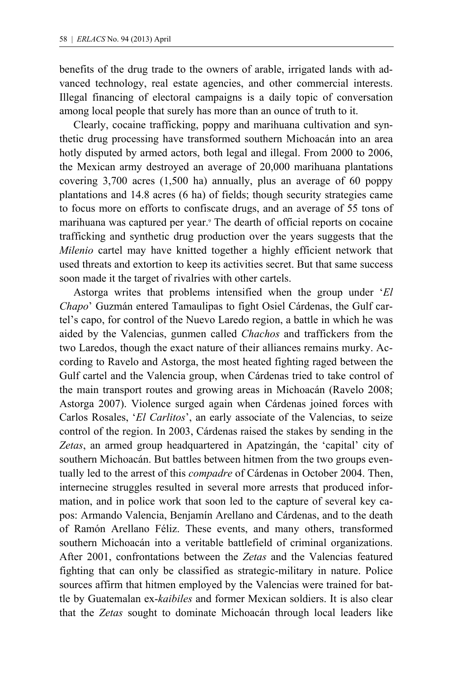benefits of the drug trade to the owners of arable, irrigated lands with advanced technology, real estate agencies, and other commercial interests. Illegal financing of electoral campaigns is a daily topic of conversation among local people that surely has more than an ounce of truth to it.

 Clearly, cocaine trafficking, poppy and marihuana cultivation and synthetic drug processing have transformed southern Michoacán into an area hotly disputed by armed actors, both legal and illegal. From 2000 to 2006, the Mexican army destroyed an average of 20,000 marihuana plantations covering 3,700 acres (1,500 ha) annually, plus an average of 60 poppy plantations and 14.8 acres (6 ha) of fields; though security strategies came to focus more on efforts to confiscate drugs, and an average of 55 tons of marihuana was captured per year.<sup>9</sup> The dearth of official reports on cocaine trafficking and synthetic drug production over the years suggests that the *Milenio* cartel may have knitted together a highly efficient network that used threats and extortion to keep its activities secret. But that same success soon made it the target of rivalries with other cartels.

 Astorga writes that problems intensified when the group under '*El Chapo*' Guzmán entered Tamaulipas to fight Osiel Cárdenas, the Gulf cartel's capo, for control of the Nuevo Laredo region, a battle in which he was aided by the Valencias, gunmen called *Chachos* and traffickers from the two Laredos, though the exact nature of their alliances remains murky. According to Ravelo and Astorga, the most heated fighting raged between the Gulf cartel and the Valencia group, when Cárdenas tried to take control of the main transport routes and growing areas in Michoacán (Ravelo 2008; Astorga 2007). Violence surged again when Cárdenas joined forces with Carlos Rosales, '*El Carlitos*', an early associate of the Valencias, to seize control of the region. In 2003, Cárdenas raised the stakes by sending in the *Zetas*, an armed group headquartered in Apatzingán, the 'capital' city of southern Michoacán. But battles between hitmen from the two groups eventually led to the arrest of this *compadre* of Cárdenas in October 2004. Then, internecine struggles resulted in several more arrests that produced information, and in police work that soon led to the capture of several key capos: Armando Valencia, Benjamín Arellano and Cárdenas, and to the death of Ramón Arellano Féliz. These events, and many others, transformed southern Michoacán into a veritable battlefield of criminal organizations. After 2001, confrontations between the *Zetas* and the Valencias featured fighting that can only be classified as strategic-military in nature. Police sources affirm that hitmen employed by the Valencias were trained for battle by Guatemalan ex-*kaibiles* and former Mexican soldiers. It is also clear that the *Zetas* sought to dominate Michoacán through local leaders like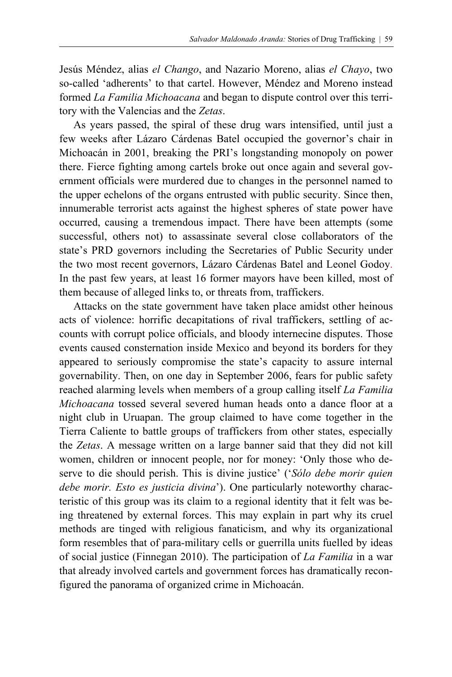Jesús Méndez, alias *el Chango*, and Nazario Moreno, alias *el Chayo*, two so-called 'adherents' to that cartel. However, Méndez and Moreno instead formed *La Familia Michoacana* and began to dispute control over this territory with the Valencias and the *Zetas*.

 As years passed, the spiral of these drug wars intensified, until just a few weeks after Lázaro Cárdenas Batel occupied the governor's chair in Michoacán in 2001, breaking the PRI's longstanding monopoly on power there. Fierce fighting among cartels broke out once again and several government officials were murdered due to changes in the personnel named to the upper echelons of the organs entrusted with public security. Since then, innumerable terrorist acts against the highest spheres of state power have occurred, causing a tremendous impact. There have been attempts (some successful, others not) to assassinate several close collaborators of the state's PRD governors including the Secretaries of Public Security under the two most recent governors, Lázaro Cárdenas Batel and Leonel Godoy. In the past few years, at least 16 former mayors have been killed, most of them because of alleged links to, or threats from, traffickers.

 Attacks on the state government have taken place amidst other heinous acts of violence: horrific decapitations of rival traffickers, settling of accounts with corrupt police officials, and bloody internecine disputes. Those events caused consternation inside Mexico and beyond its borders for they appeared to seriously compromise the state's capacity to assure internal governability. Then, on one day in September 2006, fears for public safety reached alarming levels when members of a group calling itself *La Familia Michoacana* tossed several severed human heads onto a dance floor at a night club in Uruapan. The group claimed to have come together in the Tierra Caliente to battle groups of traffickers from other states, especially the *Zetas*. A message written on a large banner said that they did not kill women, children or innocent people, nor for money: 'Only those who deserve to die should perish. This is divine justice' ('*Sólo debe morir quien debe morir. Esto es justicia divina*'). One particularly noteworthy characteristic of this group was its claim to a regional identity that it felt was being threatened by external forces. This may explain in part why its cruel methods are tinged with religious fanaticism, and why its organizational form resembles that of para-military cells or guerrilla units fuelled by ideas of social justice (Finnegan 2010). The participation of *La Familia* in a war that already involved cartels and government forces has dramatically reconfigured the panorama of organized crime in Michoacán.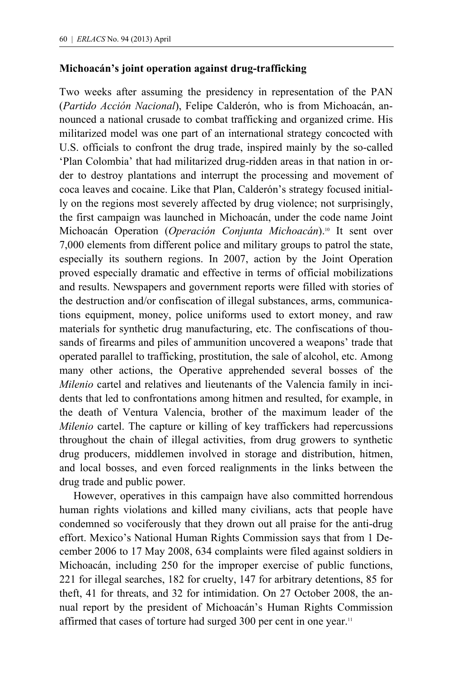## **Michoacán's joint operation against drug-trafficking**

Two weeks after assuming the presidency in representation of the PAN (*Partido Acción Nacional*), Felipe Calderón, who is from Michoacán, announced a national crusade to combat trafficking and organized crime. His militarized model was one part of an international strategy concocted with U.S. officials to confront the drug trade, inspired mainly by the so-called 'Plan Colombia' that had militarized drug-ridden areas in that nation in order to destroy plantations and interrupt the processing and movement of coca leaves and cocaine. Like that Plan, Calderón's strategy focused initially on the regions most severely affected by drug violence; not surprisingly, the first campaign was launched in Michoacán, under the code name Joint Michoacán Operation (Operación Conjunta Michoacán).<sup>10</sup> It sent over 7,000 elements from different police and military groups to patrol the state, especially its southern regions. In 2007, action by the Joint Operation proved especially dramatic and effective in terms of official mobilizations and results. Newspapers and government reports were filled with stories of the destruction and/or confiscation of illegal substances, arms, communications equipment, money, police uniforms used to extort money, and raw materials for synthetic drug manufacturing, etc. The confiscations of thousands of firearms and piles of ammunition uncovered a weapons' trade that operated parallel to trafficking, prostitution, the sale of alcohol, etc. Among many other actions, the Operative apprehended several bosses of the *Milenio* cartel and relatives and lieutenants of the Valencia family in incidents that led to confrontations among hitmen and resulted, for example, in the death of Ventura Valencia, brother of the maximum leader of the *Milenio* cartel. The capture or killing of key traffickers had repercussions throughout the chain of illegal activities, from drug growers to synthetic drug producers, middlemen involved in storage and distribution, hitmen, and local bosses, and even forced realignments in the links between the drug trade and public power.

 However, operatives in this campaign have also committed horrendous human rights violations and killed many civilians, acts that people have condemned so vociferously that they drown out all praise for the anti-drug effort. Mexico's National Human Rights Commission says that from 1 December 2006 to 17 May 2008, 634 complaints were filed against soldiers in Michoacán, including 250 for the improper exercise of public functions, 221 for illegal searches, 182 for cruelty, 147 for arbitrary detentions, 85 for theft, 41 for threats, and 32 for intimidation. On 27 October 2008, the annual report by the president of Michoacán's Human Rights Commission affirmed that cases of torture had surged 300 per cent in one year.<sup>11</sup>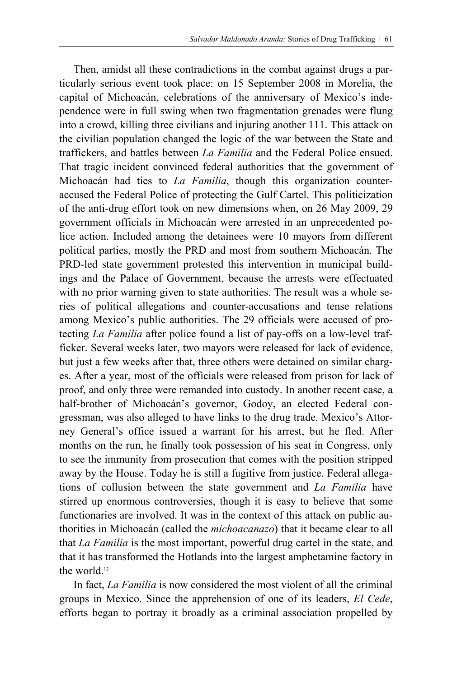Then, amidst all these contradictions in the combat against drugs a particularly serious event took place: on 15 September 2008 in Morelia, the capital of Michoacán, celebrations of the anniversary of Mexico's independence were in full swing when two fragmentation grenades were flung into a crowd, killing three civilians and injuring another 111. This attack on the civilian population changed the logic of the war between the State and traffickers, and battles between *La Familia* and the Federal Police ensued. That tragic incident convinced federal authorities that the government of Michoacán had ties to *La Familia*, though this organization counteraccused the Federal Police of protecting the Gulf Cartel. This politicization of the anti-drug effort took on new dimensions when, on 26 May 2009, 29 government officials in Michoacán were arrested in an unprecedented police action. Included among the detainees were 10 mayors from different political parties, mostly the PRD and most from southern Michoacán. The PRD-led state government protested this intervention in municipal buildings and the Palace of Government, because the arrests were effectuated with no prior warning given to state authorities. The result was a whole series of political allegations and counter-accusations and tense relations among Mexico's public authorities. The 29 officials were accused of protecting *La Familia* after police found a list of pay-offs on a low-level trafficker. Several weeks later, two mayors were released for lack of evidence, but just a few weeks after that, three others were detained on similar charges. After a year, most of the officials were released from prison for lack of proof, and only three were remanded into custody. In another recent case, a half-brother of Michoacán's governor, Godoy, an elected Federal congressman, was also alleged to have links to the drug trade. Mexico's Attorney General's office issued a warrant for his arrest, but he fled. After months on the run, he finally took possession of his seat in Congress, only to see the immunity from prosecution that comes with the position stripped away by the House. Today he is still a fugitive from justice. Federal allegations of collusion between the state government and *La Familia* have stirred up enormous controversies, though it is easy to believe that some functionaries are involved. It was in the context of this attack on public authorities in Michoacán (called the *michoacanazo*) that it became clear to all that *La Familia* is the most important, powerful drug cartel in the state, and that it has transformed the Hotlands into the largest amphetamine factory in the world.<sup>12</sup>

 In fact, *La Familia* is now considered the most violent of all the criminal groups in Mexico. Since the apprehension of one of its leaders, *El Cede*, efforts began to portray it broadly as a criminal association propelled by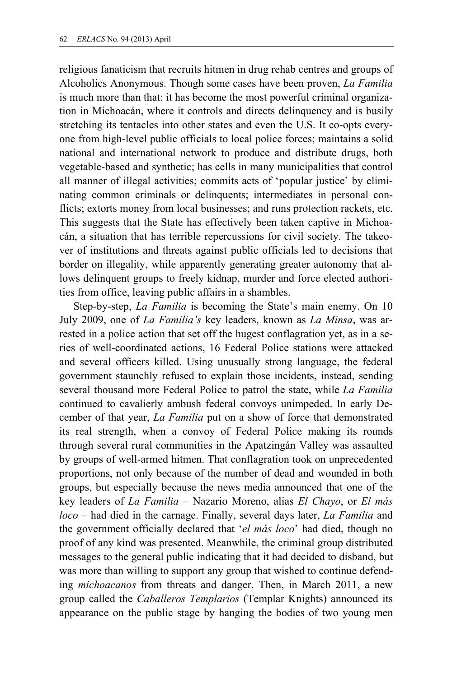religious fanaticism that recruits hitmen in drug rehab centres and groups of Alcoholics Anonymous. Though some cases have been proven, *La Familia* is much more than that: it has become the most powerful criminal organization in Michoacán, where it controls and directs delinquency and is busily stretching its tentacles into other states and even the U.S. It co-opts everyone from high-level public officials to local police forces; maintains a solid national and international network to produce and distribute drugs, both vegetable-based and synthetic; has cells in many municipalities that control all manner of illegal activities; commits acts of 'popular justice' by eliminating common criminals or delinquents; intermediates in personal conflicts; extorts money from local businesses; and runs protection rackets, etc. This suggests that the State has effectively been taken captive in Michoacán, a situation that has terrible repercussions for civil society. The takeover of institutions and threats against public officials led to decisions that border on illegality, while apparently generating greater autonomy that allows delinquent groups to freely kidnap, murder and force elected authorities from office, leaving public affairs in a shambles.

 Step-by-step, *La Familia* is becoming the State's main enemy. On 10 July 2009, one of *La Familia's* key leaders, known as *La Minsa*, was arrested in a police action that set off the hugest conflagration yet, as in a series of well-coordinated actions, 16 Federal Police stations were attacked and several officers killed. Using unusually strong language, the federal government staunchly refused to explain those incidents, instead, sending several thousand more Federal Police to patrol the state, while *La Familia*  continued to cavalierly ambush federal convoys unimpeded. In early December of that year, *La Familia* put on a show of force that demonstrated its real strength, when a convoy of Federal Police making its rounds through several rural communities in the Apatzingán Valley was assaulted by groups of well-armed hitmen. That conflagration took on unprecedented proportions, not only because of the number of dead and wounded in both groups, but especially because the news media announced that one of the key leaders of *La Familia* – Nazario Moreno, alias *El Chayo*, or *El más loco* – had died in the carnage. Finally, several days later, *La Familia* and the government officially declared that '*el más loco*' had died, though no proof of any kind was presented. Meanwhile, the criminal group distributed messages to the general public indicating that it had decided to disband, but was more than willing to support any group that wished to continue defending *michoacanos* from threats and danger. Then, in March 2011, a new group called the *Caballeros Templarios* (Templar Knights) announced its appearance on the public stage by hanging the bodies of two young men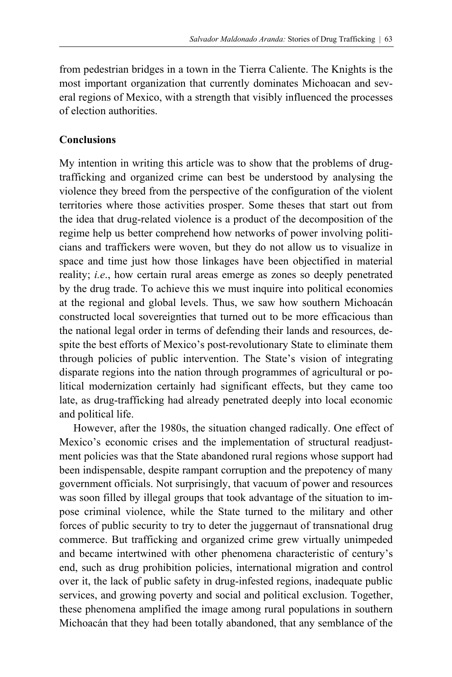from pedestrian bridges in a town in the Tierra Caliente. The Knights is the most important organization that currently dominates Michoacan and several regions of Mexico, with a strength that visibly influenced the processes of election authorities.

## **Conclusions**

My intention in writing this article was to show that the problems of drugtrafficking and organized crime can best be understood by analysing the violence they breed from the perspective of the configuration of the violent territories where those activities prosper. Some theses that start out from the idea that drug-related violence is a product of the decomposition of the regime help us better comprehend how networks of power involving politicians and traffickers were woven, but they do not allow us to visualize in space and time just how those linkages have been objectified in material reality; *i.e*., how certain rural areas emerge as zones so deeply penetrated by the drug trade. To achieve this we must inquire into political economies at the regional and global levels. Thus, we saw how southern Michoacán constructed local sovereignties that turned out to be more efficacious than the national legal order in terms of defending their lands and resources, despite the best efforts of Mexico's post-revolutionary State to eliminate them through policies of public intervention. The State's vision of integrating disparate regions into the nation through programmes of agricultural or political modernization certainly had significant effects, but they came too late, as drug-trafficking had already penetrated deeply into local economic and political life.

 However, after the 1980s, the situation changed radically. One effect of Mexico's economic crises and the implementation of structural readjustment policies was that the State abandoned rural regions whose support had been indispensable, despite rampant corruption and the prepotency of many government officials. Not surprisingly, that vacuum of power and resources was soon filled by illegal groups that took advantage of the situation to impose criminal violence, while the State turned to the military and other forces of public security to try to deter the juggernaut of transnational drug commerce. But trafficking and organized crime grew virtually unimpeded and became intertwined with other phenomena characteristic of century's end, such as drug prohibition policies, international migration and control over it, the lack of public safety in drug-infested regions, inadequate public services, and growing poverty and social and political exclusion. Together, these phenomena amplified the image among rural populations in southern Michoacán that they had been totally abandoned, that any semblance of the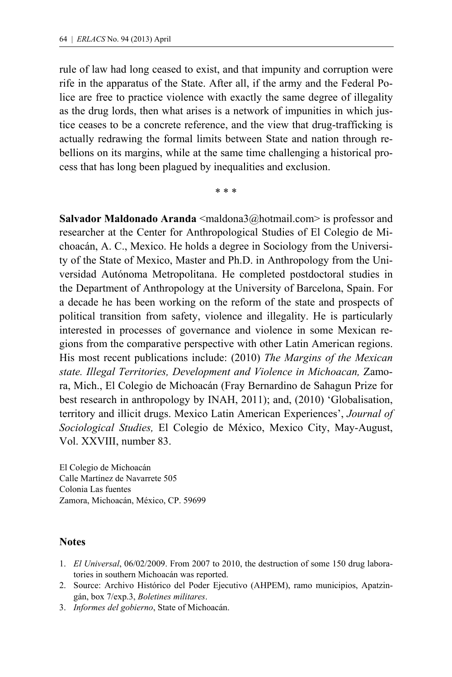rule of law had long ceased to exist, and that impunity and corruption were rife in the apparatus of the State. After all, if the army and the Federal Police are free to practice violence with exactly the same degree of illegality as the drug lords, then what arises is a network of impunities in which justice ceases to be a concrete reference, and the view that drug-trafficking is actually redrawing the formal limits between State and nation through rebellions on its margins, while at the same time challenging a historical process that has long been plagued by inequalities and exclusion.

\* \* \*

**Salvador Maldonado Aranda** <maldona3@hotmail.com> is professor and researcher at the Center for Anthropological Studies of El Colegio de Michoacán, A. C., Mexico. He holds a degree in Sociology from the University of the State of Mexico, Master and Ph.D. in Anthropology from the Universidad Autónoma Metropolitana. He completed postdoctoral studies in the Department of Anthropology at the University of Barcelona, Spain. For a decade he has been working on the reform of the state and prospects of political transition from safety, violence and illegality. He is particularly interested in processes of governance and violence in some Mexican regions from the comparative perspective with other Latin American regions. His most recent publications include: (2010) *The Margins of the Mexican state. Illegal Territories, Development and Violence in Michoacan,* Zamora, Mich., El Colegio de Michoacán (Fray Bernardino de Sahagun Prize for best research in anthropology by INAH, 2011); and, (2010) 'Globalisation, territory and illicit drugs. Mexico Latin American Experiences', *Journal of Sociological Studies,* El Colegio de México, Mexico City, May-August, Vol. XXVIII, number 83.

El Colegio de Michoacán Calle Martínez de Navarrete 505 Colonia Las fuentes Zamora, Michoacán, México, CP. 59699

## **Notes**

- 1. *El Universal*, 06/02/2009. From 2007 to 2010, the destruction of some 150 drug laboratories in southern Michoacán was reported.
- 2. Source: Archivo Histórico del Poder Ejecutivo (AHPEM), ramo municipios, Apatzingán, box 7/exp.3, *Boletines militares*.
- 3. *Informes del gobierno*, State of Michoacán.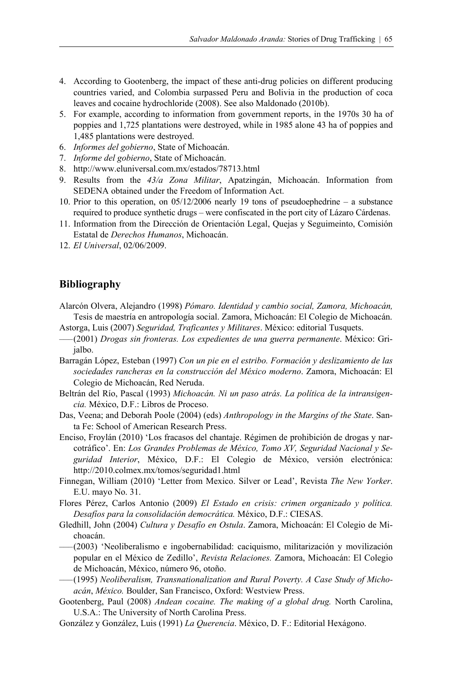- 4. According to Gootenberg, the impact of these anti-drug policies on different producing countries varied, and Colombia surpassed Peru and Bolivia in the production of coca leaves and cocaine hydrochloride (2008). See also Maldonado (2010b).
- 5. For example, according to information from government reports, in the 1970s 30 ha of poppies and 1,725 plantations were destroyed, while in 1985 alone 43 ha of poppies and 1,485 plantations were destroyed.
- 6. *Informes del gobierno*, State of Michoacán.
- 7. *Informe del gobierno*, State of Michoacán.
- 8. http://www.eluniversal.com.mx/estados/78713.html
- 9. Results from the *43/a Zona Militar*, Apatzingán, Michoacán. Information from SEDENA obtained under the Freedom of Information Act.
- 10. Prior to this operation, on 05/12/2006 nearly 19 tons of pseudoephedrine a substance required to produce synthetic drugs – were confiscated in the port city of Lázaro Cárdenas.
- 11. Information from the Dirección de Orientación Legal, Quejas y Seguimeinto, Comisión Estatal de *Derechos Humanos*, Michoacán.
- 12. *El Universal*, 02/06/2009.

#### **Bibliography**

- Alarcón Olvera, Alejandro (1998) *Pómaro. Identidad y cambio social, Zamora, Michoacán,* Tesis de maestría en antropología social. Zamora, Michoacán: El Colegio de Michoacán.
- Astorga, Luis (2007) *Seguridad, Traficantes y Militares*. México: editorial Tusquets.
- ––– (2001) *Drogas sin fronteras. Los expedientes de una guerra permanente*. México: Grijalbo.
- Barragán López, Esteban (1997) *Con un pie en el estribo. Formación y deslizamiento de las sociedades rancheras en la construcción del México moderno*. Zamora, Michoacán: El Colegio de Michoacán, Red Neruda.
- Beltrán del Río, Pascal (1993) *Michoacán. Ni un paso atrás. La política de la intransigencia.* México, D.F.: Libros de Proceso.
- Das, Veena; and Deborah Poole (2004) (eds) *Anthropology in the Margins of the State*. Santa Fe: School of American Research Press.
- Enciso, Froylán (2010) 'Los fracasos del chantaje. Régimen de prohibición de drogas y narcotráfico'. En: *Los Grandes Problemas de México, Tomo XV, Seguridad Nacional y Seguridad Interior*, México, D.F.: El Colegio de México, versión electrónica: http://2010.colmex.mx/tomos/seguridad1.html
- Finnegan, William (2010) 'Letter from Mexico. Silver or Lead', Revista *The New Yorker*. E.U. mayo No. 31.
- Flores Pérez, Carlos Antonio (2009) *El Estado en crisis: crimen organizado y política. Desafíos para la consolidación democrática.* México, D.F.: CIESAS.
- Gledhill, John (2004) *Cultura y Desafío en Ostula*. Zamora, Michoacán: El Colegio de Michoacán.
- ––– (2003) 'Neoliberalismo e ingobernabilidad: caciquismo, militarización y movilización popular en el México de Zedillo', *Revista Relaciones.* Zamora, Michoacán: El Colegio de Michoacán, México, número 96, otoño.
- ––– (1995) *Neoliberalism, Transnationalization and Rural Poverty. A Case Study of Michoacán*, *México.* Boulder, San Francisco, Oxford: Westview Press.
- Gootenberg, Paul (2008) *Andean cocaine. The making of a global drug.* North Carolina, U.S.A.: The University of North Carolina Press.
- González y González, Luis (1991) *La Querencia*. México, D. F.: Editorial Hexágono.